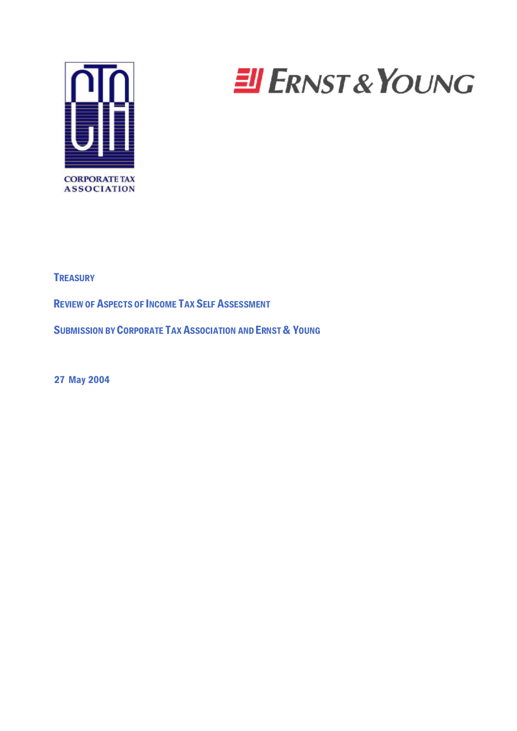

# **EI ERNST & YOUNG**

**TREASURY** 

REVIEW OF ASPECTS OF INCOME TAX SELF ASSESSMENT

SUBMISSION BY CORPORATE TAX ASSOCIATION AND ERNST & YOUNG

27 May 2004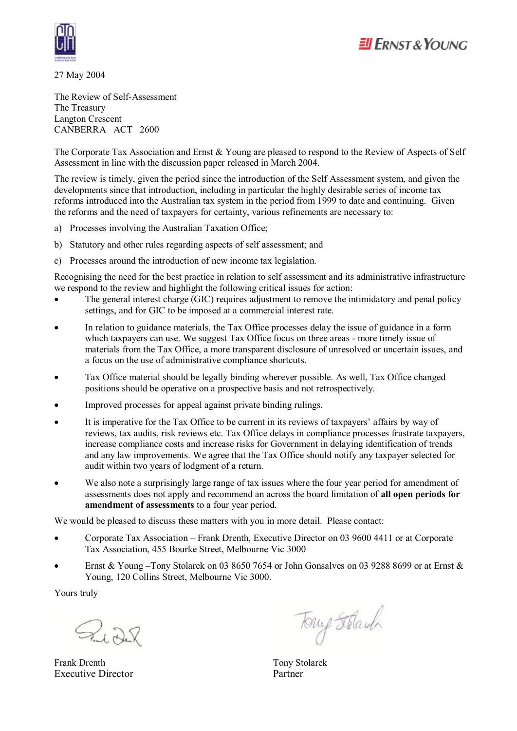

27 May 2004

The Review of Self-Assessment The Treasury Langton Crescent CANBERRA ACT 2600

The Corporate Tax Association and Ernst & Young are pleased to respond to the Review of Aspects of Self Assessment in line with the discussion paper released in March 2004.

The review is timely, given the period since the introduction of the Self Assessment system, and given the developments since that introduction, including in particular the highly desirable series of income tax reforms introduced into the Australian tax system in the period from 1999 to date and continuing. Given the reforms and the need of taxpayers for certainty, various refinements are necessary to:

- a) Processes involving the Australian Taxation Office;
- b) Statutory and other rules regarding aspects of self assessment; and
- c) Processes around the introduction of new income tax legislation.

Recognising the need for the best practice in relation to self assessment and its administrative infrastructure we respond to the review and highlight the following critical issues for action:

- The general interest charge (GIC) requires adjustment to remove the intimidatory and penal policy settings, and for GIC to be imposed at a commercial interest rate.
- In relation to guidance materials, the Tax Office processes delay the issue of guidance in a form which taxpayers can use. We suggest Tax Office focus on three areas - more timely issue of materials from the Tax Office, a more transparent disclosure of unresolved or uncertain issues, and a focus on the use of administrative compliance shortcuts.
- Tax Office material should be legally binding wherever possible. As well, Tax Office changed positions should be operative on a prospective basis and not retrospectively.
- · Improved processes for appeal against private binding rulings.
- It is imperative for the Tax Office to be current in its reviews of taxpayers' affairs by way of reviews, tax audits, risk reviews etc. Tax Office delays in compliance processes frustrate taxpayers, increase compliance costs and increase risks for Government in delaying identification of trends and any law improvements. We agree that the Tax Office should notify any taxpayer selected for audit within two years of lodgment of a return.
- We also note a surprisingly large range of tax issues where the four year period for amendment of assessments does not apply and recommend an across the board limitation of **all open periods for amendment of assessments** to a four year period.

We would be pleased to discuss these matters with you in more detail. Please contact:

- · Corporate Tax Association Frank Drenth, Executive Director on 03 9600 4411 or at Corporate Tax Association, 455 Bourke Street, Melbourne Vic 3000
- Ernst & Young –Tony Stolarek on 03 8650 7654 or John Gonsalves on 03 9288 8699 or at Ernst & Young, 120 Collins Street, Melbourne Vic 3000.

Yours truly

Rudok

Frank Drenth Tony Stolarek Executive Director Partner

Tony Stolaub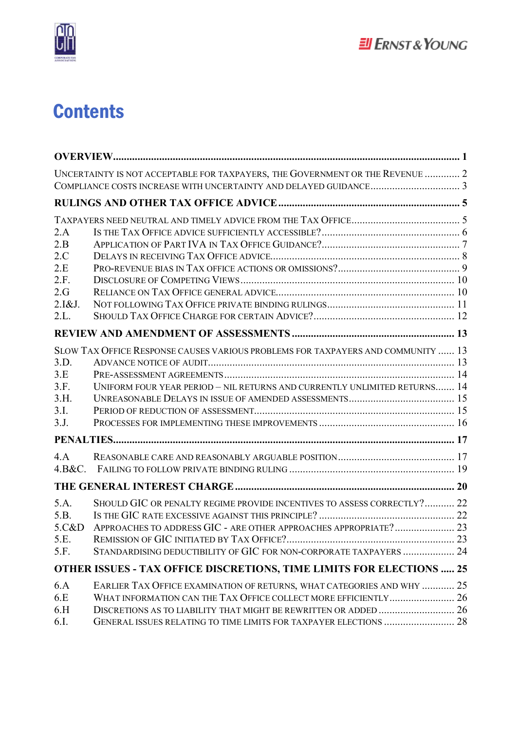

# **Contents**

|        | UNCERTAINTY IS NOT ACCEPTABLE FOR TAXPAYERS, THE GOVERNMENT OR THE REVENUE  2    |  |
|--------|----------------------------------------------------------------------------------|--|
|        |                                                                                  |  |
|        |                                                                                  |  |
|        |                                                                                  |  |
| 2.A    |                                                                                  |  |
| 2.B    |                                                                                  |  |
| 2.C    |                                                                                  |  |
| 2.E    |                                                                                  |  |
| 2.F.   |                                                                                  |  |
| 2.G    |                                                                                  |  |
| 2.I&J. |                                                                                  |  |
| 2.L.   |                                                                                  |  |
|        |                                                                                  |  |
|        | SLOW TAX OFFICE RESPONSE CAUSES VARIOUS PROBLEMS FOR TAXPAYERS AND COMMUNITY  13 |  |
| 3.D.   |                                                                                  |  |
| 3.E    |                                                                                  |  |
| 3.F.   | UNIFORM FOUR YEAR PERIOD - NIL RETURNS AND CURRENTLY UNLIMITED RETURNS 14        |  |
| 3.H.   |                                                                                  |  |
| 3.I.   |                                                                                  |  |
| 3.J.   |                                                                                  |  |
|        |                                                                                  |  |
| 4.A    |                                                                                  |  |
| 4.B&C. |                                                                                  |  |
|        |                                                                                  |  |
| 5.A.   | SHOULD GIC OR PENALTY REGIME PROVIDE INCENTIVES TO ASSESS CORRECTLY? 22          |  |
| 5.B.   |                                                                                  |  |
| 5.C&D  | APPROACHES TO ADDRESS GIC - ARE OTHER APPROACHES APPROPRIATE? 23                 |  |
| 5.E.   |                                                                                  |  |
| 5.F.   | STANDARDISING DEDUCTIBILITY OF GIC FOR NON-CORPORATE TAXPAYERS  24               |  |
|        | <b>OTHER ISSUES - TAX OFFICE DISCRETIONS, TIME LIMITS FOR ELECTIONS  25</b>      |  |
| 6.A    | EARLIER TAX OFFICE EXAMINATION OF RETURNS, WHAT CATEGORIES AND WHY  25           |  |
| 6.E    |                                                                                  |  |
| 6.H    |                                                                                  |  |
| 6.I.   |                                                                                  |  |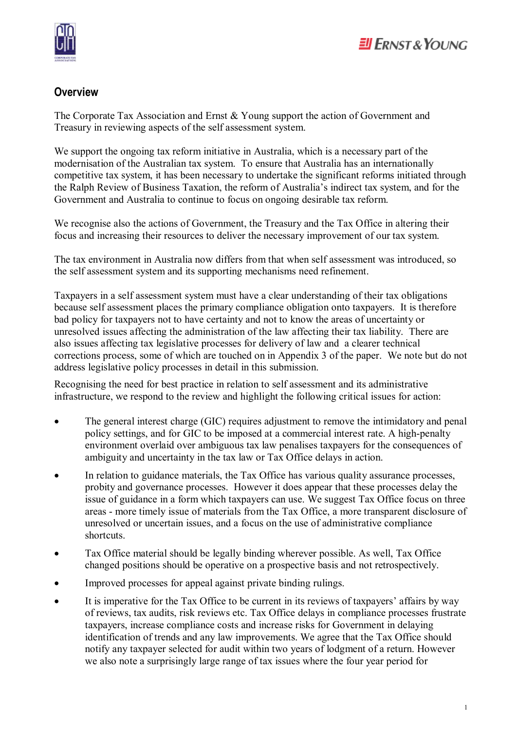

# $E$ ll Frnst & Young

#### **Overview**

The Corporate Tax Association and Ernst & Young support the action of Government and Treasury in reviewing aspects of the self assessment system.

We support the ongoing tax reform initiative in Australia, which is a necessary part of the modernisation of the Australian tax system. To ensure that Australia has an internationally competitive tax system, it has been necessary to undertake the significant reforms initiated through the Ralph Review of Business Taxation, the reform of Australia's indirect tax system, and for the Government and Australia to continue to focus on ongoing desirable tax reform.

We recognise also the actions of Government, the Treasury and the Tax Office in altering their focus and increasing their resources to deliver the necessary improvement of our tax system.

The tax environment in Australia now differs from that when self assessment was introduced, so the self assessment system and its supporting mechanisms need refinement.

Taxpayers in a self assessment system must have a clear understanding of their tax obligations because self assessment places the primary compliance obligation onto taxpayers. It is therefore bad policy for taxpayers not to have certainty and not to know the areas of uncertainty or unresolved issues affecting the administration of the law affecting their tax liability. There are also issues affecting tax legislative processes for delivery of law and a clearer technical corrections process, some of which are touched on in Appendix 3 of the paper. We note but do not address legislative policy processes in detail in this submission.

Recognising the need for best practice in relation to self assessment and its administrative infrastructure, we respond to the review and highlight the following critical issues for action:

- The general interest charge (GIC) requires adjustment to remove the intimidatory and penal policy settings, and for GIC to be imposed at a commercial interest rate. A high-penalty environment overlaid over ambiguous tax law penalises taxpayers for the consequences of ambiguity and uncertainty in the tax law or Tax Office delays in action.
- In relation to guidance materials, the Tax Office has various quality assurance processes, probity and governance processes. However it does appear that these processes delay the issue of guidance in a form which taxpayers can use. We suggest Tax Office focus on three areas - more timely issue of materials from the Tax Office, a more transparent disclosure of unresolved or uncertain issues, and a focus on the use of administrative compliance shortcuts.
- Tax Office material should be legally binding wherever possible. As well, Tax Office changed positions should be operative on a prospective basis and not retrospectively.
- · Improved processes for appeal against private binding rulings.
- It is imperative for the Tax Office to be current in its reviews of taxpayers' affairs by way of reviews, tax audits, risk reviews etc. Tax Office delays in compliance processes frustrate taxpayers, increase compliance costs and increase risks for Government in delaying identification of trends and any law improvements. We agree that the Tax Office should notify any taxpayer selected for audit within two years of lodgment of a return. However we also note a surprisingly large range of tax issues where the four year period for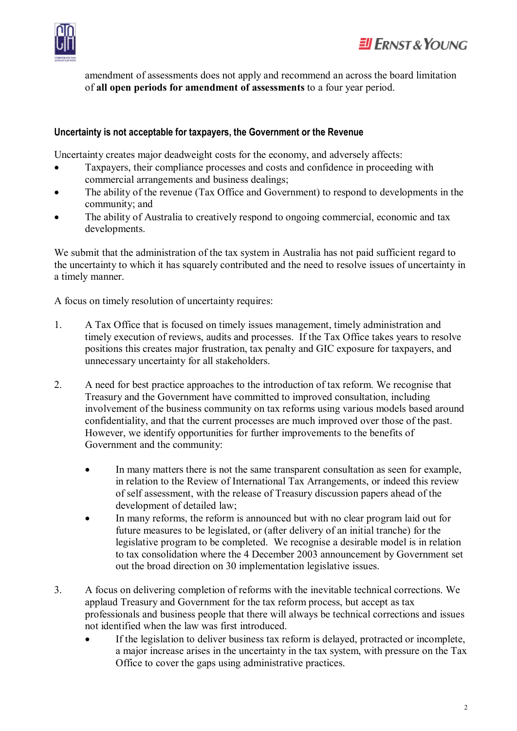

amendment of assessments does not apply and recommend an across the board limitation of **all open periods for amendment of assessments** to a four year period.

#### **Uncertainty is not acceptable for taxpayers, the Government or the Revenue**

Uncertainty creates major deadweight costs for the economy, and adversely affects:

- Taxpayers, their compliance processes and costs and confidence in proceeding with commercial arrangements and business dealings;
- The ability of the revenue (Tax Office and Government) to respond to developments in the community; and
- The ability of Australia to creatively respond to ongoing commercial, economic and tax developments.

We submit that the administration of the tax system in Australia has not paid sufficient regard to the uncertainty to which it has squarely contributed and the need to resolve issues of uncertainty in a timely manner.

A focus on timely resolution of uncertainty requires:

- 1. A Tax Office that is focused on timely issues management, timely administration and timely execution of reviews, audits and processes. If the Tax Office takes years to resolve positions this creates major frustration, tax penalty and GIC exposure for taxpayers, and unnecessary uncertainty for all stakeholders.
- 2. A need for best practice approaches to the introduction of tax reform. We recognise that Treasury and the Government have committed to improved consultation, including involvement of the business community on tax reforms using various models based around confidentiality, and that the current processes are much improved over those of the past. However, we identify opportunities for further improvements to the benefits of Government and the community:
	- · In many matters there is not the same transparent consultation as seen for example, in relation to the Review of International Tax Arrangements, or indeed this review of self assessment, with the release of Treasury discussion papers ahead of the development of detailed law;
	- · In many reforms, the reform is announced but with no clear program laid out for future measures to be legislated, or (after delivery of an initial tranche) for the legislative program to be completed. We recognise a desirable model is in relation to tax consolidation where the 4 December 2003 announcement by Government set out the broad direction on 30 implementation legislative issues.
- 3. A focus on delivering completion of reforms with the inevitable technical corrections. We applaud Treasury and Government for the tax reform process, but accept as tax professionals and business people that there will always be technical corrections and issues not identified when the law was first introduced.
	- · If the legislation to deliver business tax reform is delayed, protracted or incomplete, a major increase arises in the uncertainty in the tax system, with pressure on the Tax Office to cover the gaps using administrative practices.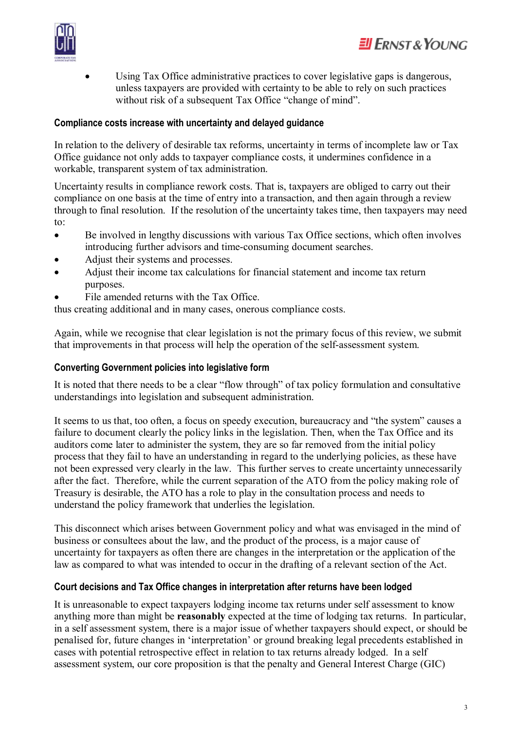



Using Tax Office administrative practices to cover legislative gaps is dangerous, unless taxpayers are provided with certainty to be able to rely on such practices without risk of a subsequent Tax Office "change of mind".

#### **Compliance costs increase with uncertainty and delayed guidance**

In relation to the delivery of desirable tax reforms, uncertainty in terms of incomplete law or Tax Office guidance not only adds to taxpayer compliance costs, it undermines confidence in a workable, transparent system of tax administration.

Uncertainty results in compliance rework costs. That is, taxpayers are obliged to carry out their compliance on one basis at the time of entry into a transaction, and then again through a review through to final resolution. If the resolution of the uncertainty takes time, then taxpayers may need to:

- · Be involved in lengthy discussions with various Tax Office sections, which often involves introducing further advisors and time-consuming document searches.
- Adjust their systems and processes.
- Adjust their income tax calculations for financial statement and income tax return purposes.
- File amended returns with the Tax Office.

thus creating additional and in many cases, onerous compliance costs.

Again, while we recognise that clear legislation is not the primary focus of this review, we submit that improvements in that process will help the operation of the self-assessment system.

#### **Converting Government policies into legislative form**

It is noted that there needs to be a clear "flow through" of tax policy formulation and consultative understandings into legislation and subsequent administration.

It seems to us that, too often, a focus on speedy execution, bureaucracy and "the system" causes a failure to document clearly the policy links in the legislation. Then, when the Tax Office and its auditors come later to administer the system, they are so far removed from the initial policy process that they fail to have an understanding in regard to the underlying policies, as these have not been expressed very clearly in the law. This further serves to create uncertainty unnecessarily after the fact. Therefore, while the current separation of the ATO from the policy making role of Treasury is desirable, the ATO has a role to play in the consultation process and needs to understand the policy framework that underlies the legislation.

This disconnect which arises between Government policy and what was envisaged in the mind of business or consultees about the law, and the product of the process, is a major cause of uncertainty for taxpayers as often there are changes in the interpretation or the application of the law as compared to what was intended to occur in the drafting of a relevant section of the Act.

#### **Court decisions and Tax Office changes in interpretation after returns have been lodged**

It is unreasonable to expect taxpayers lodging income tax returns under self assessment to know anything more than might be **reasonably** expected at the time of lodging tax returns. In particular, in a self assessment system, there is a major issue of whether taxpayers should expect, or should be penalised for, future changes in 'interpretation' or ground breaking legal precedents established in cases with potential retrospective effect in relation to tax returns already lodged. In a self assessment system, our core proposition is that the penalty and General Interest Charge (GIC)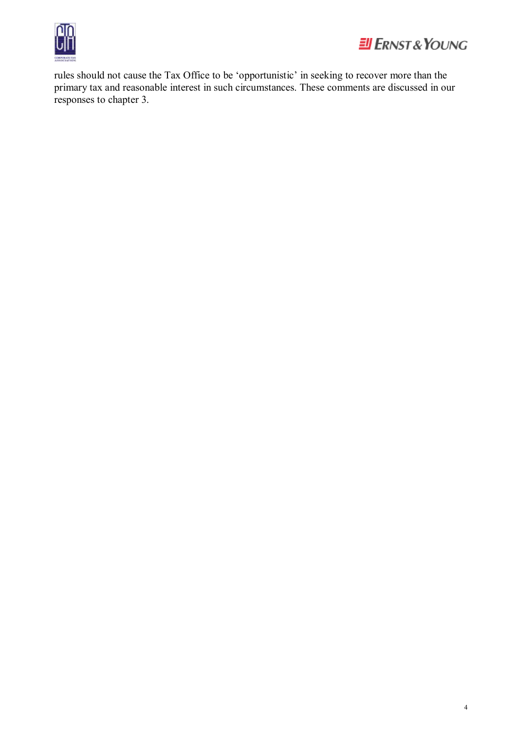



rules should not cause the Tax Office to be 'opportunistic' in seeking to recover more than the primary tax and reasonable interest in such circumstances. These comments are discussed in our responses to chapter 3.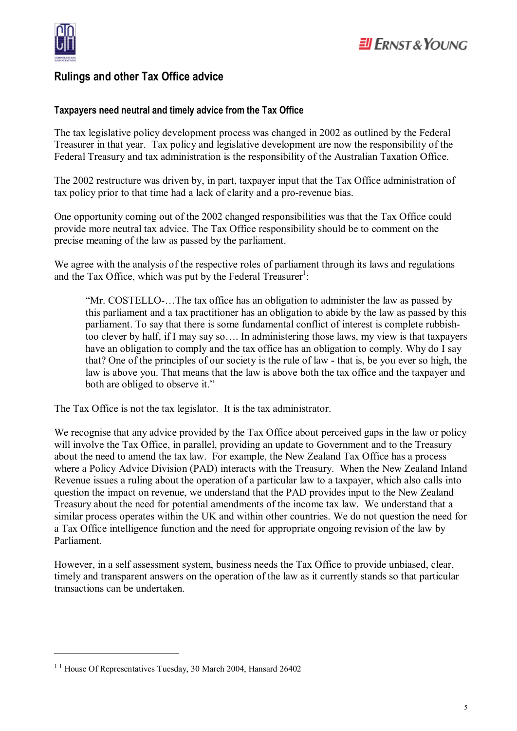

### **Rulings and other Tax Office advice**

#### **Taxpayers need neutral and timely advice from the Tax Office**

The tax legislative policy development process was changed in 2002 as outlined by the Federal Treasurer in that year. Tax policy and legislative development are now the responsibility of the Federal Treasury and tax administration is the responsibility of the Australian Taxation Office.

The 2002 restructure was driven by, in part, taxpayer input that the Tax Office administration of tax policy prior to that time had a lack of clarity and a pro-revenue bias.

One opportunity coming out of the 2002 changed responsibilities was that the Tax Office could provide more neutral tax advice. The Tax Office responsibility should be to comment on the precise meaning of the law as passed by the parliament.

We agree with the analysis of the respective roles of parliament through its laws and regulations and the Tax Office, which was put by the Federal Treasurer<sup>1</sup>:

"Mr. COSTELLO-…The tax office has an obligation to administer the law as passed by this parliament and a tax practitioner has an obligation to abide by the law as passed by this parliament. To say that there is some fundamental conflict of interest is complete rubbishtoo clever by half, if I may say so…. In administering those laws, my view is that taxpayers have an obligation to comply and the tax office has an obligation to comply. Why do I say that? One of the principles of our society is the rule of law - that is, be you ever so high, the law is above you. That means that the law is above both the tax office and the taxpayer and both are obliged to observe it."

The Tax Office is not the tax legislator. It is the tax administrator.

We recognise that any advice provided by the Tax Office about perceived gaps in the law or policy will involve the Tax Office, in parallel, providing an update to Government and to the Treasury about the need to amend the tax law. For example, the New Zealand Tax Office has a process where a Policy Advice Division (PAD) interacts with the Treasury. When the New Zealand Inland Revenue issues a ruling about the operation of a particular law to a taxpayer, which also calls into question the impact on revenue, we understand that the PAD provides input to the New Zealand Treasury about the need for potential amendments of the income tax law. We understand that a similar process operates within the UK and within other countries. We do not question the need for a Tax Office intelligence function and the need for appropriate ongoing revision of the law by Parliament.

However, in a self assessment system, business needs the Tax Office to provide unbiased, clear, timely and transparent answers on the operation of the law as it currently stands so that particular transactions can be undertaken.

 $\overline{a}$ 

<sup>&</sup>lt;sup>1</sup> <sup>1</sup> House Of Representatives Tuesday, 30 March 2004, Hansard 26402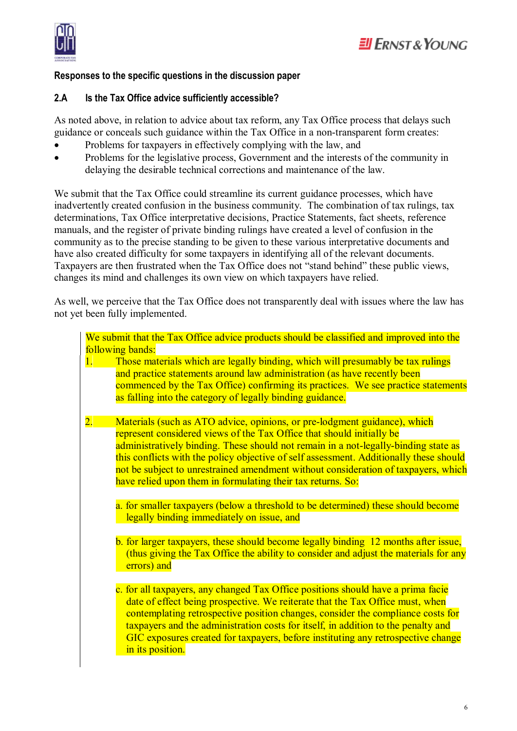

#### **Responses to the specific questions in the discussion paper**

#### **2.A Is the Tax Office advice sufficiently accessible?**

As noted above, in relation to advice about tax reform, any Tax Office process that delays such guidance or conceals such guidance within the Tax Office in a non-transparent form creates:

- Problems for taxpayers in effectively complying with the law, and
- Problems for the legislative process, Government and the interests of the community in delaying the desirable technical corrections and maintenance of the law.

We submit that the Tax Office could streamline its current guidance processes, which have inadvertently created confusion in the business community. The combination of tax rulings, tax determinations, Tax Office interpretative decisions, Practice Statements, fact sheets, reference manuals, and the register of private binding rulings have created a level of confusion in the community as to the precise standing to be given to these various interpretative documents and have also created difficulty for some taxpayers in identifying all of the relevant documents. Taxpayers are then frustrated when the Tax Office does not "stand behind" these public views, changes its mind and challenges its own view on which taxpayers have relied.

As well, we perceive that the Tax Office does not transparently deal with issues where the law has not yet been fully implemented.

|                  | We submit that the Tax Office advice products should be classified and improved into the                                                                                                                                                                                                                                                                                                                                                                                                                                                                                                                                   |
|------------------|----------------------------------------------------------------------------------------------------------------------------------------------------------------------------------------------------------------------------------------------------------------------------------------------------------------------------------------------------------------------------------------------------------------------------------------------------------------------------------------------------------------------------------------------------------------------------------------------------------------------------|
|                  | following bands:                                                                                                                                                                                                                                                                                                                                                                                                                                                                                                                                                                                                           |
| 1.               | Those materials which are legally binding, which will presumably be tax rulings<br>and practice statements around law administration (as have recently been<br>commenced by the Tax Office) confirming its practices. We see practice statements<br>as falling into the category of legally binding guidance.                                                                                                                                                                                                                                                                                                              |
| $\overline{2}$ . | Materials (such as ATO advice, opinions, or pre-lodgment guidance), which<br>represent considered views of the Tax Office that should initially be<br>administratively binding. These should not remain in a not-legally-binding state as<br>this conflicts with the policy objective of self assessment. Additionally these should<br>not be subject to unrestrained amendment without consideration of taxpayers, which<br>have relied upon them in formulating their tax returns. So:<br>a. for smaller taxpayers (below a threshold to be determined) these should become<br>legally binding immediately on issue, and |
|                  | b. for larger taxpayers, these should become legally binding 12 months after issue,<br>(thus giving the Tax Office the ability to consider and adjust the materials for any<br>errors) and                                                                                                                                                                                                                                                                                                                                                                                                                                 |
|                  | c. for all taxpayers, any changed Tax Office positions should have a prima facie<br>date of effect being prospective. We reiterate that the Tax Office must, when<br>contemplating retrospective position changes, consider the compliance costs for<br>taxpayers and the administration costs for itself, in addition to the penalty and<br>GIC exposures created for taxpayers, before instituting any retrospective change<br>in its position.                                                                                                                                                                          |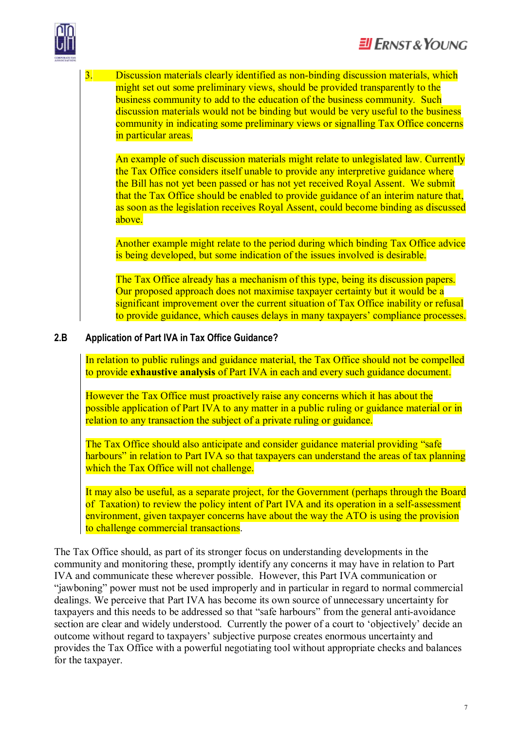

3. Discussion materials clearly identified as non-binding discussion materials, which might set out some preliminary views, should be provided transparently to the business community to add to the education of the business community. Such discussion materials would not be binding but would be very useful to the business community in indicating some preliminary views or signalling Tax Office concerns in particular areas.

An example of such discussion materials might relate to unlegislated law. Currently the Tax Office considers itself unable to provide any interpretive guidance where the Bill has not yet been passed or has not yet received Royal Assent. We submit that the Tax Office should be enabled to provide guidance of an interim nature that, as soon as the legislation receives Royal Assent, could become binding as discussed above.

Another example might relate to the period during which binding Tax Office advice is being developed, but some indication of the issues involved is desirable.

The Tax Office already has a mechanism of this type, being its discussion papers. Our proposed approach does not maximise taxpayer certainty but it would be a significant improvement over the current situation of Tax Office inability or refusal to provide guidance, which causes delays in many taxpayers' compliance processes.

#### **2.B Application of Part IVA in Tax Office Guidance?**

In relation to public rulings and guidance material, the Tax Office should not be compelled to provide **exhaustive analysis** of Part IVA in each and every such guidance document.

However the Tax Office must proactively raise any concerns which it has about the possible application of Part IVA to any matter in a public ruling or guidance material or in relation to any transaction the subject of a private ruling or guidance.

The Tax Office should also anticipate and consider guidance material providing "safe harbours" in relation to Part IVA so that taxpayers can understand the areas of tax planning which the Tax Office will not challenge.

It may also be useful, as a separate project, for the Government (perhaps through the Board of Taxation) to review the policy intent of Part IVA and its operation in a self-assessment environment, given taxpayer concerns have about the way the ATO is using the provision to challenge commercial transactions.

The Tax Office should, as part of its stronger focus on understanding developments in the community and monitoring these, promptly identify any concerns it may have in relation to Part IVA and communicate these wherever possible. However, this Part IVA communication or "jawboning" power must not be used improperly and in particular in regard to normal commercial dealings. We perceive that Part IVA has become its own source of unnecessary uncertainty for taxpayers and this needs to be addressed so that "safe harbours" from the general anti-avoidance section are clear and widely understood. Currently the power of a court to 'objectively' decide an outcome without regard to taxpayers' subjective purpose creates enormous uncertainty and provides the Tax Office with a powerful negotiating tool without appropriate checks and balances for the taxpayer.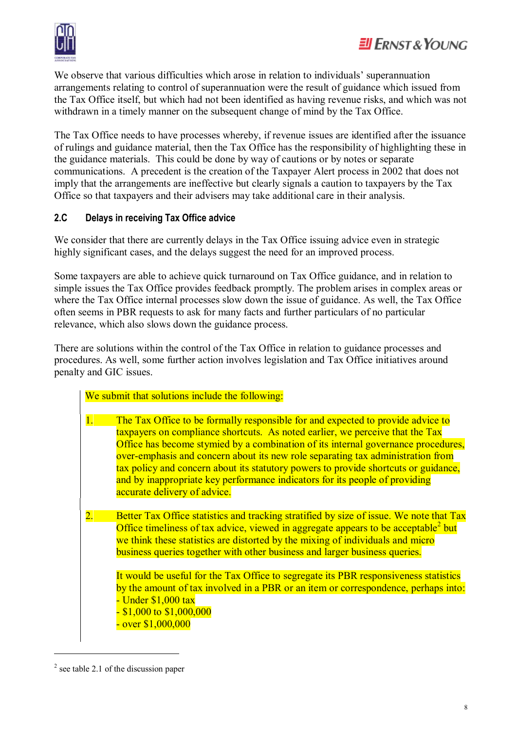

We observe that various difficulties which arose in relation to individuals' superannuation arrangements relating to control of superannuation were the result of guidance which issued from the Tax Office itself, but which had not been identified as having revenue risks, and which was not withdrawn in a timely manner on the subsequent change of mind by the Tax Office.

The Tax Office needs to have processes whereby, if revenue issues are identified after the issuance of rulings and guidance material, then the Tax Office has the responsibility of highlighting these in the guidance materials. This could be done by way of cautions or by notes or separate communications. A precedent is the creation of the Taxpayer Alert process in 2002 that does not imply that the arrangements are ineffective but clearly signals a caution to taxpayers by the Tax Office so that taxpayers and their advisers may take additional care in their analysis.

#### **2.C Delays in receiving Tax Office advice**

We consider that there are currently delays in the Tax Office issuing advice even in strategic highly significant cases, and the delays suggest the need for an improved process.

Some taxpayers are able to achieve quick turnaround on Tax Office guidance, and in relation to simple issues the Tax Office provides feedback promptly. The problem arises in complex areas or where the Tax Office internal processes slow down the issue of guidance. As well, the Tax Office often seems in PBR requests to ask for many facts and further particulars of no particular relevance, which also slows down the guidance process.

There are solutions within the control of the Tax Office in relation to guidance processes and procedures. As well, some further action involves legislation and Tax Office initiatives around penalty and GIC issues.

|                  | We submit that solutions include the following:                                                                                                                                                                                                                                                                                                                                                                                                                                                                                                                                                                       |
|------------------|-----------------------------------------------------------------------------------------------------------------------------------------------------------------------------------------------------------------------------------------------------------------------------------------------------------------------------------------------------------------------------------------------------------------------------------------------------------------------------------------------------------------------------------------------------------------------------------------------------------------------|
| 1.               | The Tax Office to be formally responsible for and expected to provide advice to<br>taxpayers on compliance shortcuts. As noted earlier, we perceive that the Tax<br>Office has become stymied by a combination of its internal governance procedures,<br>over-emphasis and concern about its new role separating tax administration from<br>tax policy and concern about its statutory powers to provide shortcuts or guidance,<br>and by inappropriate key performance indicators for its people of providing<br>accurate delivery of advice.                                                                        |
| $\overline{2}$ . | Better Tax Office statistics and tracking stratified by size of issue. We note that Tax<br>Office timeliness of tax advice, viewed in aggregate appears to be acceptable <sup>2</sup> but<br>we think these statistics are distorted by the mixing of individuals and micro<br>business queries together with other business and larger business queries.<br>It would be useful for the Tax Office to segregate its PBR responsiveness statistics<br>by the amount of tax involved in a PBR or an item or correspondence, perhaps into:<br>- Under \$1,000 tax<br>$-$ \$1,000 to \$1,000,000<br>$-$ over $$1,000,000$ |

 $2$  see table 2.1 of the discussion paper

 $\overline{a}$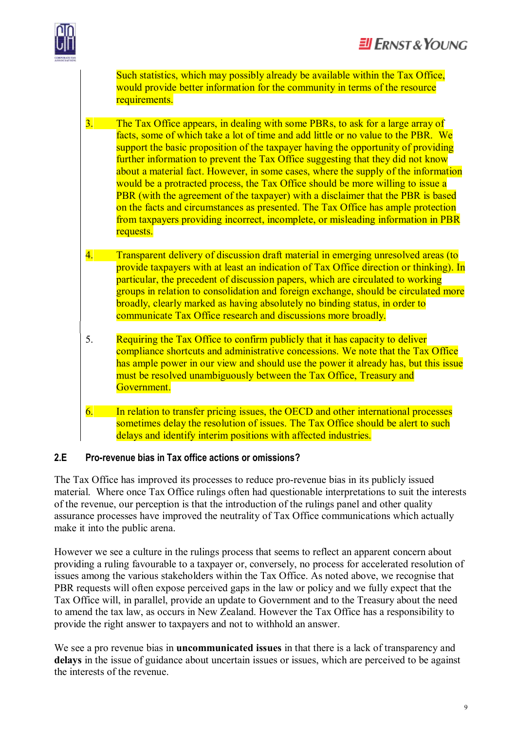

Such statistics, which may possibly already be available within the Tax Office, would provide better information for the community in terms of the resource requirements.

3. The Tax Office appears, in dealing with some PBRs, to ask for a large array of facts, some of which take a lot of time and add little or no value to the PBR. We support the basic proposition of the taxpayer having the opportunity of providing further information to prevent the Tax Office suggesting that they did not know about a material fact. However, in some cases, where the supply of the information would be a protracted process, the Tax Office should be more willing to issue a PBR (with the agreement of the taxpayer) with a disclaimer that the PBR is based on the facts and circumstances as presented. The Tax Office has ample protection from taxpayers providing incorrect, incomplete, or misleading information in PBR requests.

- 4. Transparent delivery of discussion draft material in emerging unresolved areas (to provide taxpayers with at least an indication of Tax Office direction or thinking). In particular, the precedent of discussion papers, which are circulated to working groups in relation to consolidation and foreign exchange, should be circulated more broadly, clearly marked as having absolutely no binding status, in order to communicate Tax Office research and discussions more broadly.
- 5. Requiring the Tax Office to confirm publicly that it has capacity to deliver compliance shortcuts and administrative concessions. We note that the Tax Office has ample power in our view and should use the power it already has, but this issue must be resolved unambiguously between the Tax Office, Treasury and Government.
- 6. In relation to transfer pricing issues, the OECD and other international processes sometimes delay the resolution of issues. The Tax Office should be alert to such delays and identify interim positions with affected industries.

#### **2.E Pro-revenue bias in Tax office actions or omissions?**

The Tax Office has improved its processes to reduce pro-revenue bias in its publicly issued material. Where once Tax Office rulings often had questionable interpretations to suit the interests of the revenue, our perception is that the introduction of the rulings panel and other quality assurance processes have improved the neutrality of Tax Office communications which actually make it into the public arena.

However we see a culture in the rulings process that seems to reflect an apparent concern about providing a ruling favourable to a taxpayer or, conversely, no process for accelerated resolution of issues among the various stakeholders within the Tax Office. As noted above, we recognise that PBR requests will often expose perceived gaps in the law or policy and we fully expect that the Tax Office will, in parallel, provide an update to Government and to the Treasury about the need to amend the tax law, as occurs in New Zealand. However the Tax Office has a responsibility to provide the right answer to taxpayers and not to withhold an answer.

We see a pro revenue bias in **uncommunicated issues** in that there is a lack of transparency and **delays** in the issue of guidance about uncertain issues or issues, which are perceived to be against the interests of the revenue.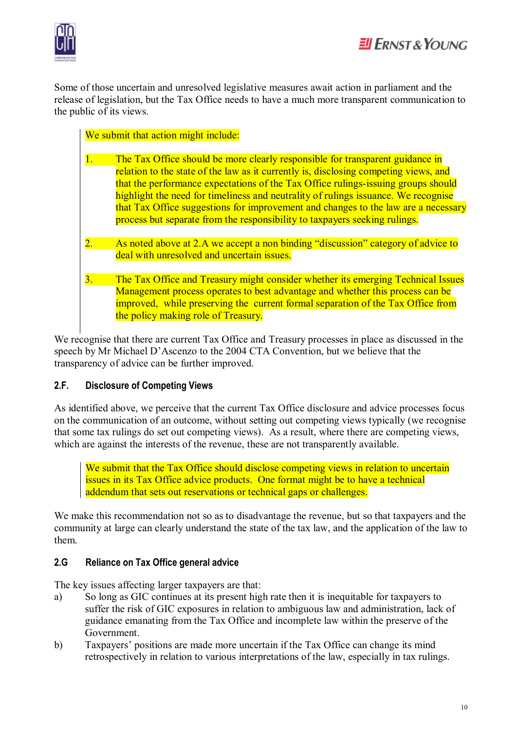

Some of those uncertain and unresolved legislative measures await action in parliament and the release of legislation, but the Tax Office needs to have a much more transparent communication to the public of its views.

We submit that action might include:

- 1. The Tax Office should be more clearly responsible for transparent guidance in relation to the state of the law as it currently is, disclosing competing views, and that the performance expectations of the Tax Office rulings-issuing groups should highlight the need for timeliness and neutrality of rulings issuance. We recognise that Tax Office suggestions for improvement and changes to the law are a necessary process but separate from the responsibility to taxpayers seeking rulings.
- As noted above at 2.A we accept a non binding "discussion" category of advice to deal with unresolved and uncertain issues.
- 3. The Tax Office and Treasury might consider whether its emerging Technical Issues Management process operates to best advantage and whether this process can be improved, while preserving the current formal separation of the Tax Office from the policy making role of Treasury.

We recognise that there are current Tax Office and Treasury processes in place as discussed in the speech by Mr Michael D'Ascenzo to the 2004 CTA Convention, but we believe that the transparency of advice can be further improved.

#### **2.F. Disclosure of Competing Views**

As identified above, we perceive that the current Tax Office disclosure and advice processes focus on the communication of an outcome, without setting out competing views typically (we recognise that some tax rulings do set out competing views). As a result, where there are competing views, which are against the interests of the revenue, these are not transparently available.

We submit that the Tax Office should disclose competing views in relation to uncertain issues in its Tax Office advice products. One format might be to have a technical addendum that sets out reservations or technical gaps or challenges.

We make this recommendation not so as to disadvantage the revenue, but so that taxpayers and the community at large can clearly understand the state of the tax law, and the application of the law to them.

#### **2.G Reliance on Tax Office general advice**

The key issues affecting larger taxpayers are that:

- a) So long as GIC continues at its present high rate then it is inequitable for taxpayers to suffer the risk of GIC exposures in relation to ambiguous law and administration, lack of guidance emanating from the Tax Office and incomplete law within the preserve of the Government.
- b) Taxpayers' positions are made more uncertain if the Tax Office can change its mind retrospectively in relation to various interpretations of the law, especially in tax rulings.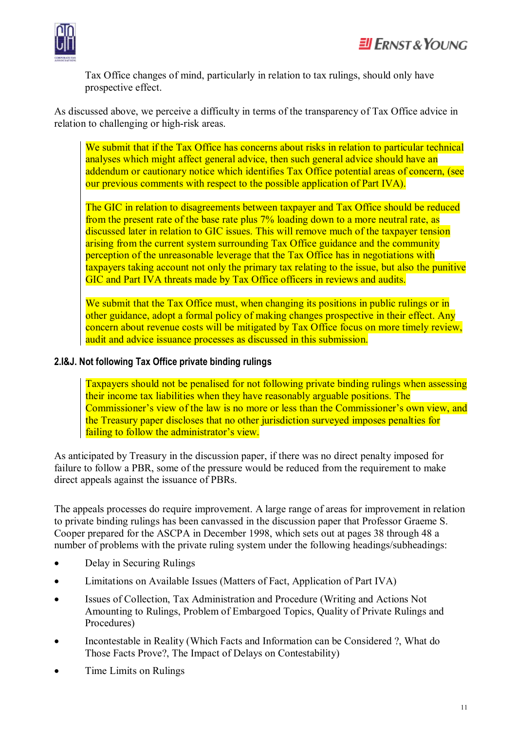

Tax Office changes of mind, particularly in relation to tax rulings, should only have prospective effect.

As discussed above, we perceive a difficulty in terms of the transparency of Tax Office advice in relation to challenging or high-risk areas.

We submit that if the Tax Office has concerns about risks in relation to particular technical analyses which might affect general advice, then such general advice should have an addendum or cautionary notice which identifies Tax Office potential areas of concern, (see our previous comments with respect to the possible application of Part IVA).

The GIC in relation to disagreements between taxpayer and Tax Office should be reduced from the present rate of the base rate plus 7% loading down to a more neutral rate, as discussed later in relation to GIC issues. This will remove much of the taxpayer tension arising from the current system surrounding Tax Office guidance and the community perception of the unreasonable leverage that the Tax Office has in negotiations with taxpayers taking account not only the primary tax relating to the issue, but also the punitive GIC and Part IVA threats made by Tax Office officers in reviews and audits.

We submit that the Tax Office must, when changing its positions in public rulings or in other guidance, adopt a formal policy of making changes prospective in their effect. Any concern about revenue costs will be mitigated by Tax Office focus on more timely review, audit and advice issuance processes as discussed in this submission.

#### **2.I&J. Not following Tax Office private binding rulings**

Taxpayers should not be penalised for not following private binding rulings when assessing their income tax liabilities when they have reasonably arguable positions. The Commissioner's view of the law is no more or less than the Commissioner's own view, and the Treasury paper discloses that no other jurisdiction surveyed imposes penalties for failing to follow the administrator's view.

As anticipated by Treasury in the discussion paper, if there was no direct penalty imposed for failure to follow a PBR, some of the pressure would be reduced from the requirement to make direct appeals against the issuance of PBRs.

The appeals processes do require improvement. A large range of areas for improvement in relation to private binding rulings has been canvassed in the discussion paper that Professor Graeme S. Cooper prepared for the ASCPA in December 1998, which sets out at pages 38 through 48 a number of problems with the private ruling system under the following headings/subheadings:

- Delay in Securing Rulings
- Limitations on Available Issues (Matters of Fact, Application of Part IVA)
- Issues of Collection, Tax Administration and Procedure (Writing and Actions Not Amounting to Rulings, Problem of Embargoed Topics, Quality of Private Rulings and Procedures)
- Incontestable in Reality (Which Facts and Information can be Considered ?, What do Those Facts Prove?, The Impact of Delays on Contestability)
- Time Limits on Rulings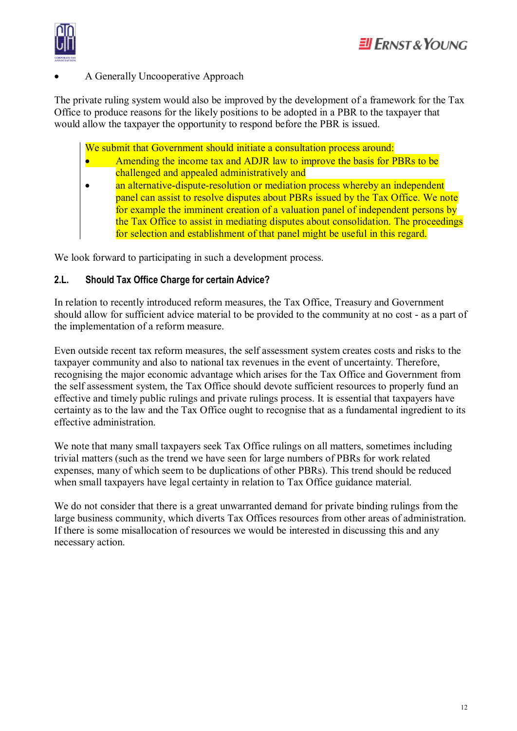#### A Generally Uncooperative Approach

The private ruling system would also be improved by the development of a framework for the Tax Office to produce reasons for the likely positions to be adopted in a PBR to the taxpayer that would allow the taxpayer the opportunity to respond before the PBR is issued.

We submit that Government should initiate a consultation process around:

- Amending the income tax and ADJR law to improve the basis for PBRs to be challenged and appealed administratively and
- an alternative-dispute-resolution or mediation process whereby an independent panel can assist to resolve disputes about PBRs issued by the Tax Office. We note for example the imminent creation of a valuation panel of independent persons by the Tax Office to assist in mediating disputes about consolidation. The proceedings for selection and establishment of that panel might be useful in this regard.

We look forward to participating in such a development process.

#### **2.L. Should Tax Office Charge for certain Advice?**

In relation to recently introduced reform measures, the Tax Office, Treasury and Government should allow for sufficient advice material to be provided to the community at no cost - as a part of the implementation of a reform measure.

Even outside recent tax reform measures, the self assessment system creates costs and risks to the taxpayer community and also to national tax revenues in the event of uncertainty. Therefore, recognising the major economic advantage which arises for the Tax Office and Government from the self assessment system, the Tax Office should devote sufficient resources to properly fund an effective and timely public rulings and private rulings process. It is essential that taxpayers have certainty as to the law and the Tax Office ought to recognise that as a fundamental ingredient to its effective administration.

We note that many small taxpayers seek Tax Office rulings on all matters, sometimes including trivial matters (such as the trend we have seen for large numbers of PBRs for work related expenses, many of which seem to be duplications of other PBRs). This trend should be reduced when small taxpayers have legal certainty in relation to Tax Office guidance material.

We do not consider that there is a great unwarranted demand for private binding rulings from the large business community, which diverts Tax Offices resources from other areas of administration. If there is some misallocation of resources we would be interested in discussing this and any necessary action.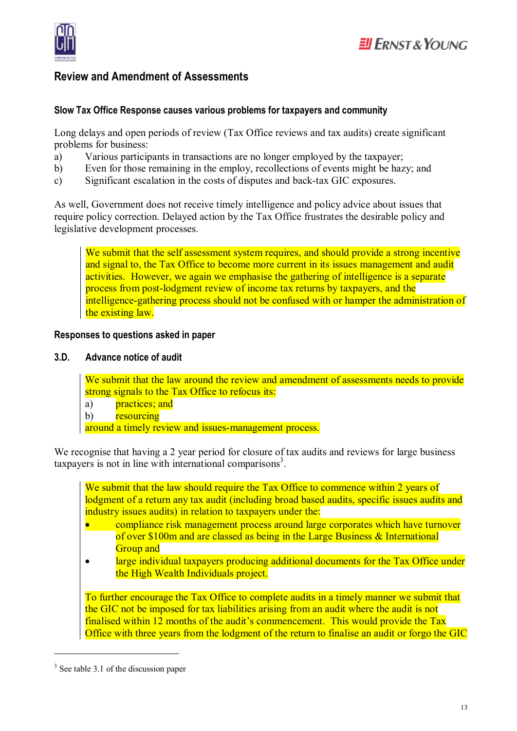

# $E$ ll Frnst & Young

#### **Review and Amendment of Assessments**

#### **Slow Tax Office Response causes various problems for taxpayers and community**

Long delays and open periods of review (Tax Office reviews and tax audits) create significant problems for business:

- a) Various participants in transactions are no longer employed by the taxpayer;
- b) Even for those remaining in the employ, recollections of events might be hazy; and
- c) Significant escalation in the costs of disputes and back-tax GIC exposures.

As well, Government does not receive timely intelligence and policy advice about issues that require policy correction. Delayed action by the Tax Office frustrates the desirable policy and legislative development processes.

We submit that the self assessment system requires, and should provide a strong incentive and signal to, the Tax Office to become more current in its issues management and audit activities. However, we again we emphasise the gathering of intelligence is a separate process from post-lodgment review of income tax returns by taxpayers, and the intelligence-gathering process should not be confused with or hamper the administration of the existing law.

#### **Responses to questions asked in paper**

#### **3.D. Advance notice of audit**

We submit that the law around the review and amendment of assessments needs to provide strong signals to the Tax Office to refocus its:

- a) practices; and
- b) resourcing

around a timely review and issues-management process.

We recognise that having a 2 year period for closure of tax audits and reviews for large business taxpayers is not in line with international comparisons<sup>3</sup>.

We submit that the law should require the Tax Office to commence within 2 years of lodgment of a return any tax audit (including broad based audits, specific issues audits and industry issues audits) in relation to taxpayers under the:

- compliance risk management process around large corporates which have turnover of over \$100m and are classed as being in the Large Business & International Group and
- large individual taxpayers producing additional documents for the Tax Office under the High Wealth Individuals project.

To further encourage the Tax Office to complete audits in a timely manner we submit that the GIC not be imposed for tax liabilities arising from an audit where the audit is not finalised within 12 months of the audit's commencement. This would provide the Tax Office with three years from the lodgment of the return to finalise an audit or forgo the GIC

 $\overline{a}$ 

<sup>&</sup>lt;sup>3</sup> See table 3.1 of the discussion paper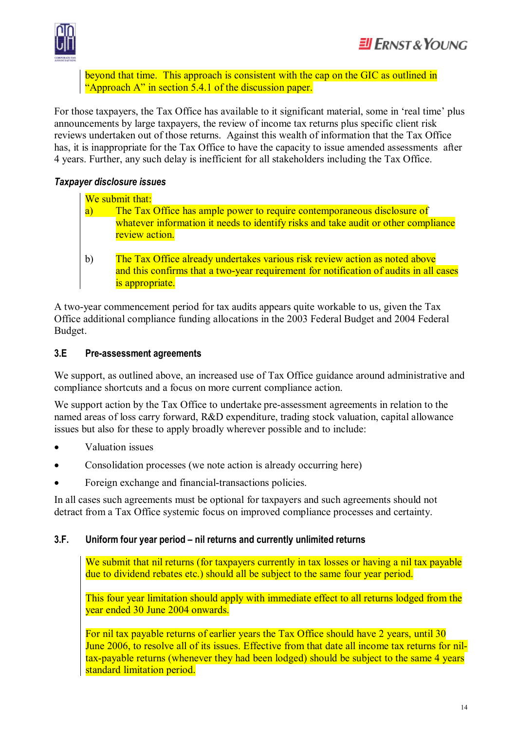

beyond that time. This approach is consistent with the cap on the GIC as outlined in "Approach A" in section 5.4.1 of the discussion paper.

For those taxpayers, the Tax Office has available to it significant material, some in 'real time' plus announcements by large taxpayers, the review of income tax returns plus specific client risk reviews undertaken out of those returns. Against this wealth of information that the Tax Office has, it is inappropriate for the Tax Office to have the capacity to issue amended assessments after 4 years. Further, any such delay is inefficient for all stakeholders including the Tax Office.

#### *Taxpayer disclosure issues*

We submit that:

- a) The Tax Office has ample power to require contemporaneous disclosure of whatever information it needs to identify risks and take audit or other compliance review action.
- b) The Tax Office already undertakes various risk review action as noted above and this confirms that a two-year requirement for notification of audits in all cases is appropriate.

A two-year commencement period for tax audits appears quite workable to us, given the Tax Office additional compliance funding allocations in the 2003 Federal Budget and 2004 Federal Budget.

#### **3.E Pre-assessment agreements**

We support, as outlined above, an increased use of Tax Office guidance around administrative and compliance shortcuts and a focus on more current compliance action.

We support action by the Tax Office to undertake pre-assessment agreements in relation to the named areas of loss carry forward, R&D expenditure, trading stock valuation, capital allowance issues but also for these to apply broadly wherever possible and to include:

- · Valuation issues
- Consolidation processes (we note action is already occurring here)
- Foreign exchange and financial-transactions policies.

In all cases such agreements must be optional for taxpayers and such agreements should not detract from a Tax Office systemic focus on improved compliance processes and certainty.

#### **3.F. Uniform four year period – nil returns and currently unlimited returns**

We submit that nil returns (for taxpayers currently in tax losses or having a nil tax payable due to dividend rebates etc.) should all be subject to the same four year period.

This four year limitation should apply with immediate effect to all returns lodged from the year ended 30 June 2004 onwards.

For nil tax payable returns of earlier years the Tax Office should have 2 years, until 30 June 2006, to resolve all of its issues. Effective from that date all income tax returns for niltax-payable returns (whenever they had been lodged) should be subject to the same 4 years standard limitation period.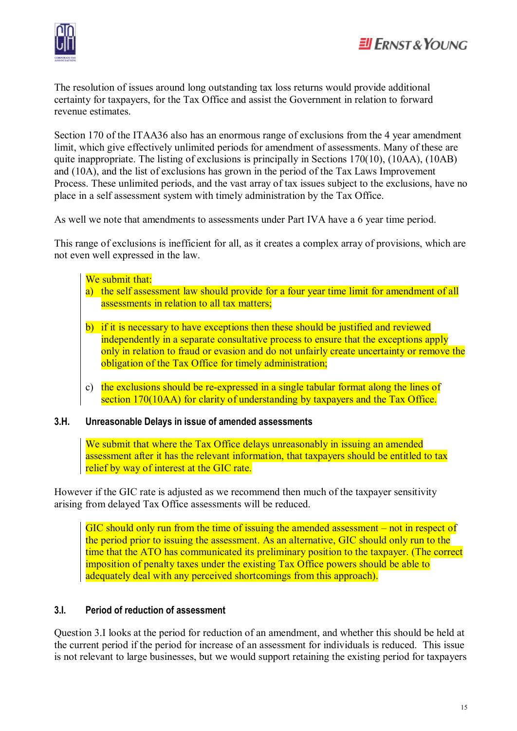

The resolution of issues around long outstanding tax loss returns would provide additional certainty for taxpayers, for the Tax Office and assist the Government in relation to forward revenue estimates.

Section 170 of the ITAA36 also has an enormous range of exclusions from the 4 year amendment limit, which give effectively unlimited periods for amendment of assessments. Many of these are quite inappropriate. The listing of exclusions is principally in Sections 170(10), (10AA), (10AB) and (10A), and the list of exclusions has grown in the period of the Tax Laws Improvement Process. These unlimited periods, and the vast array of tax issues subject to the exclusions, have no place in a self assessment system with timely administration by the Tax Office.

As well we note that amendments to assessments under Part IVA have a 6 year time period.

This range of exclusions is inefficient for all, as it creates a complex array of provisions, which are not even well expressed in the law.

#### We submit that:

- a) the self assessment law should provide for a four year time limit for amendment of all assessments in relation to all tax matters;
- b) if it is necessary to have exceptions then these should be justified and reviewed independently in a separate consultative process to ensure that the exceptions apply only in relation to fraud or evasion and do not unfairly create uncertainty or remove the obligation of the Tax Office for timely administration;
- c) the exclusions should be re-expressed in a single tabular format along the lines of section 170(10AA) for clarity of understanding by taxpayers and the Tax Office.

#### **3.H. Unreasonable Delays in issue of amended assessments**

We submit that where the Tax Office delays unreasonably in issuing an amended assessment after it has the relevant information, that taxpayers should be entitled to tax relief by way of interest at the GIC rate.

However if the GIC rate is adjusted as we recommend then much of the taxpayer sensitivity arising from delayed Tax Office assessments will be reduced.

GIC should only run from the time of issuing the amended assessment – not in respect of the period prior to issuing the assessment. As an alternative, GIC should only run to the time that the ATO has communicated its preliminary position to the taxpayer. (The correct imposition of penalty taxes under the existing Tax Office powers should be able to adequately deal with any perceived shortcomings from this approach).

#### **3.I. Period of reduction of assessment**

Question 3.I looks at the period for reduction of an amendment, and whether this should be held at the current period if the period for increase of an assessment for individuals is reduced. This issue is not relevant to large businesses, but we would support retaining the existing period for taxpayers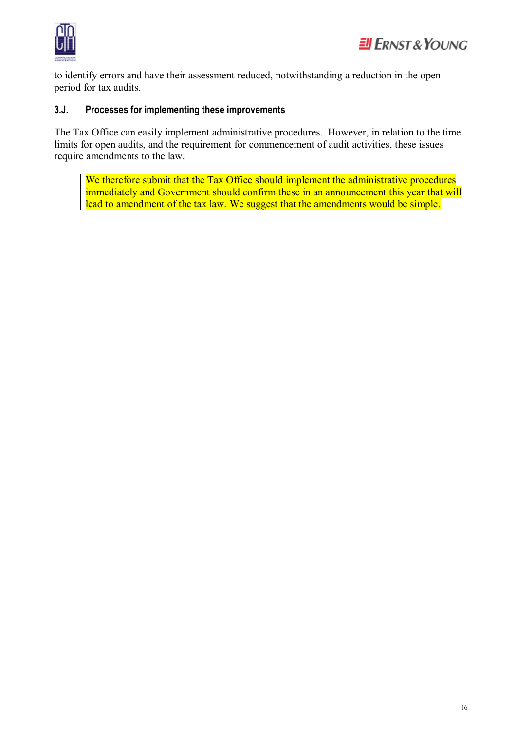

to identify errors and have their assessment reduced, notwithstanding a reduction in the open period for tax audits.

#### **3.J. Processes for implementing these improvements**

The Tax Office can easily implement administrative procedures. However, in relation to the time limits for open audits, and the requirement for commencement of audit activities, these issues require amendments to the law.

We therefore submit that the Tax Office should implement the administrative procedures immediately and Government should confirm these in an announcement this year that will lead to amendment of the tax law. We suggest that the amendments would be simple.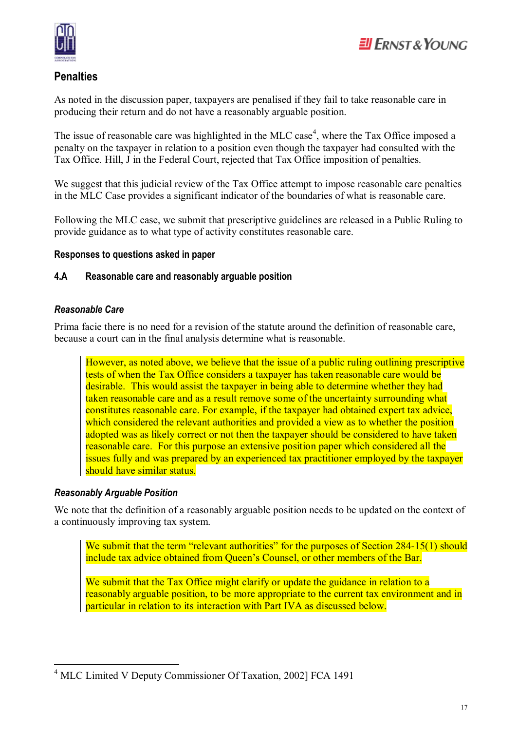

#### **Penalties**

As noted in the discussion paper, taxpayers are penalised if they fail to take reasonable care in producing their return and do not have a reasonably arguable position.

The issue of reasonable care was highlighted in the MLC case<sup>4</sup>, where the Tax Office imposed a penalty on the taxpayer in relation to a position even though the taxpayer had consulted with the Tax Office. Hill, J in the Federal Court, rejected that Tax Office imposition of penalties.

We suggest that this judicial review of the Tax Office attempt to impose reasonable care penalties in the MLC Case provides a significant indicator of the boundaries of what is reasonable care.

Following the MLC case, we submit that prescriptive guidelines are released in a Public Ruling to provide guidance as to what type of activity constitutes reasonable care.

#### **Responses to questions asked in paper**

#### **4.A Reasonable care and reasonably arguable position**

#### *Reasonable Care*

Prima facie there is no need for a revision of the statute around the definition of reasonable care, because a court can in the final analysis determine what is reasonable.

However, as noted above, we believe that the issue of a public ruling outlining prescriptive tests of when the Tax Office considers a taxpayer has taken reasonable care would be desirable. This would assist the taxpayer in being able to determine whether they had taken reasonable care and as a result remove some of the uncertainty surrounding what constitutes reasonable care. For example, if the taxpayer had obtained expert tax advice, which considered the relevant authorities and provided a view as to whether the position adopted was as likely correct or not then the taxpayer should be considered to have taken reasonable care. For this purpose an extensive position paper which considered all the issues fully and was prepared by an experienced tax practitioner employed by the taxpayer should have similar status.

#### *Reasonably Arguable Position*

 $\overline{a}$ 

We note that the definition of a reasonably arguable position needs to be updated on the context of a continuously improving tax system.

We submit that the term "relevant authorities" for the purposes of Section 284-15(1) should include tax advice obtained from Queen's Counsel, or other members of the Bar.

We submit that the Tax Office might clarify or update the guidance in relation to a reasonably arguable position, to be more appropriate to the current tax environment and in particular in relation to its interaction with Part IVA as discussed below.

<sup>4</sup> MLC Limited V Deputy Commissioner Of Taxation, 2002] FCA 1491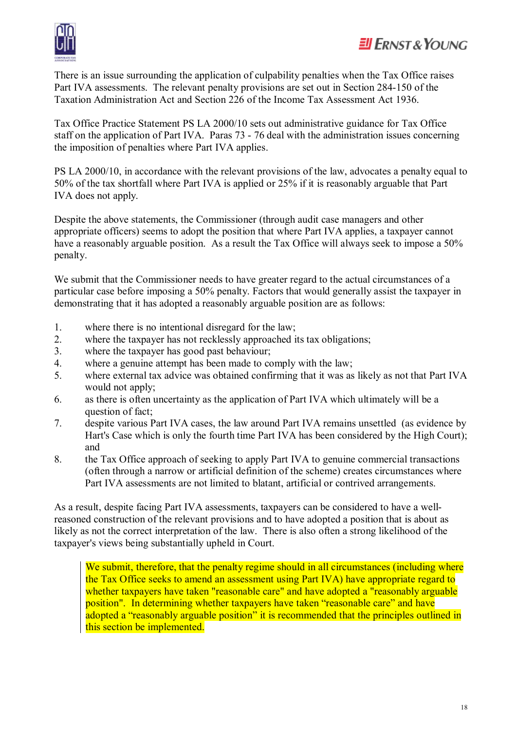

# $H$  ERNST & YOUNG

There is an issue surrounding the application of culpability penalties when the Tax Office raises Part IVA assessments. The relevant penalty provisions are set out in Section 284-150 of the Taxation Administration Act and Section 226 of the Income Tax Assessment Act 1936.

Tax Office Practice Statement PS LA 2000/10 sets out administrative guidance for Tax Office staff on the application of Part IVA. Paras 73 - 76 deal with the administration issues concerning the imposition of penalties where Part IVA applies.

PS LA 2000/10, in accordance with the relevant provisions of the law, advocates a penalty equal to 50% of the tax shortfall where Part IVA is applied or 25% if it is reasonably arguable that Part IVA does not apply.

Despite the above statements, the Commissioner (through audit case managers and other appropriate officers) seems to adopt the position that where Part IVA applies, a taxpayer cannot have a reasonably arguable position. As a result the Tax Office will always seek to impose a 50% penalty.

We submit that the Commissioner needs to have greater regard to the actual circumstances of a particular case before imposing a 50% penalty. Factors that would generally assist the taxpayer in demonstrating that it has adopted a reasonably arguable position are as follows:

- 1. where there is no intentional disregard for the law;
- 2. where the taxpayer has not recklessly approached its tax obligations;
- 3. where the taxpayer has good past behaviour;
- 4. where a genuine attempt has been made to comply with the law;
- 5. where external tax advice was obtained confirming that it was as likely as not that Part IVA would not apply;
- 6. as there is often uncertainty as the application of Part IVA which ultimately will be a question of fact;
- 7. despite various Part IVA cases, the law around Part IVA remains unsettled (as evidence by Hart's Case which is only the fourth time Part IVA has been considered by the High Court); and
- 8. the Tax Office approach of seeking to apply Part IVA to genuine commercial transactions (often through a narrow or artificial definition of the scheme) creates circumstances where Part IVA assessments are not limited to blatant, artificial or contrived arrangements.

As a result, despite facing Part IVA assessments, taxpayers can be considered to have a wellreasoned construction of the relevant provisions and to have adopted a position that is about as likely as not the correct interpretation of the law. There is also often a strong likelihood of the taxpayer's views being substantially upheld in Court.

We submit, therefore, that the penalty regime should in all circumstances (including where the Tax Office seeks to amend an assessment using Part IVA) have appropriate regard to whether taxpayers have taken "reasonable care" and have adopted a "reasonably arguable position". In determining whether taxpayers have taken "reasonable care" and have adopted a "reasonably arguable position" it is recommended that the principles outlined in this section be implemented.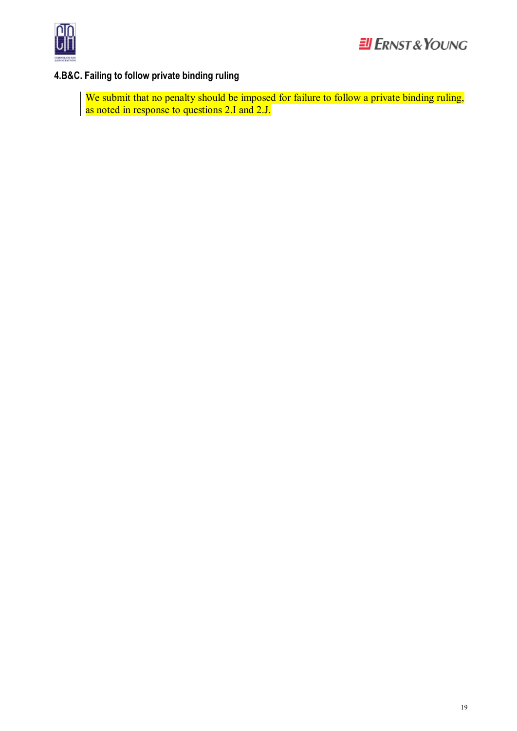

# **4.B&C. Failing to follow private binding ruling**

We submit that no penalty should be imposed for failure to follow a private binding ruling, as noted in response to questions 2.I and 2.J.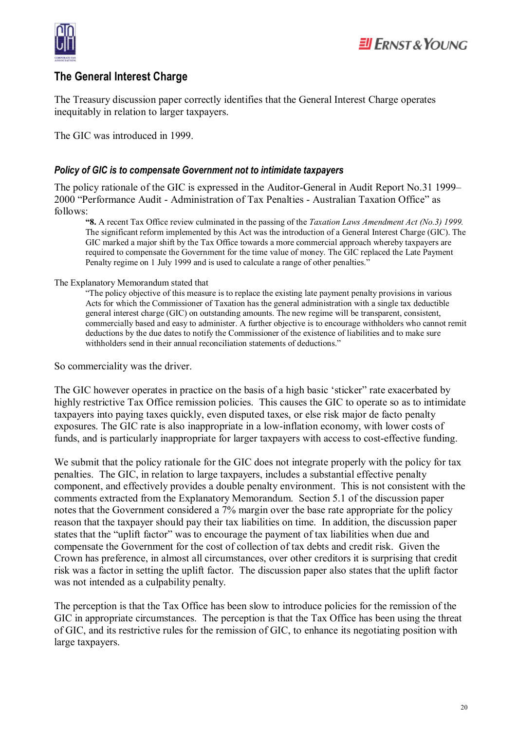

#### **The General Interest Charge**

The Treasury discussion paper correctly identifies that the General Interest Charge operates inequitably in relation to larger taxpayers.

The GIC was introduced in 1999.

#### *Policy of GIC is to compensate Government not to intimidate taxpayers*

The policy rationale of the GIC is expressed in the Auditor-General in Audit Report No.31 1999– 2000 "Performance Audit - Administration of Tax Penalties - Australian Taxation Office" as follows:

**"8.** A recent Tax Office review culminated in the passing of the *Taxation Laws Amendment Act (No.3) 1999.*  The significant reform implemented by this Act was the introduction of a General Interest Charge (GIC). The GIC marked a major shift by the Tax Office towards a more commercial approach whereby taxpayers are required to compensate the Government for the time value of money. The GIC replaced the Late Payment Penalty regime on 1 July 1999 and is used to calculate a range of other penalties.'

#### The Explanatory Memorandum stated that

"The policy objective of this measure is to replace the existing late payment penalty provisions in various Acts for which the Commissioner of Taxation has the general administration with a single tax deductible general interest charge (GIC) on outstanding amounts. The new regime will be transparent, consistent, commercially based and easy to administer. A further objective is to encourage withholders who cannot remit deductions by the due dates to notify the Commissioner of the existence of liabilities and to make sure withholders send in their annual reconciliation statements of deductions."

So commerciality was the driver.

The GIC however operates in practice on the basis of a high basic 'sticker" rate exacerbated by highly restrictive Tax Office remission policies. This causes the GIC to operate so as to intimidate taxpayers into paying taxes quickly, even disputed taxes, or else risk major de facto penalty exposures. The GIC rate is also inappropriate in a low-inflation economy, with lower costs of funds, and is particularly inappropriate for larger taxpayers with access to cost-effective funding.

We submit that the policy rationale for the GIC does not integrate properly with the policy for tax penalties. The GIC, in relation to large taxpayers, includes a substantial effective penalty component, and effectively provides a double penalty environment. This is not consistent with the comments extracted from the Explanatory Memorandum. Section 5.1 of the discussion paper notes that the Government considered a 7% margin over the base rate appropriate for the policy reason that the taxpayer should pay their tax liabilities on time. In addition, the discussion paper states that the "uplift factor" was to encourage the payment of tax liabilities when due and compensate the Government for the cost of collection of tax debts and credit risk. Given the Crown has preference, in almost all circumstances, over other creditors it is surprising that credit risk was a factor in setting the uplift factor. The discussion paper also states that the uplift factor was not intended as a culpability penalty.

The perception is that the Tax Office has been slow to introduce policies for the remission of the GIC in appropriate circumstances. The perception is that the Tax Office has been using the threat of GIC, and its restrictive rules for the remission of GIC, to enhance its negotiating position with large taxpayers.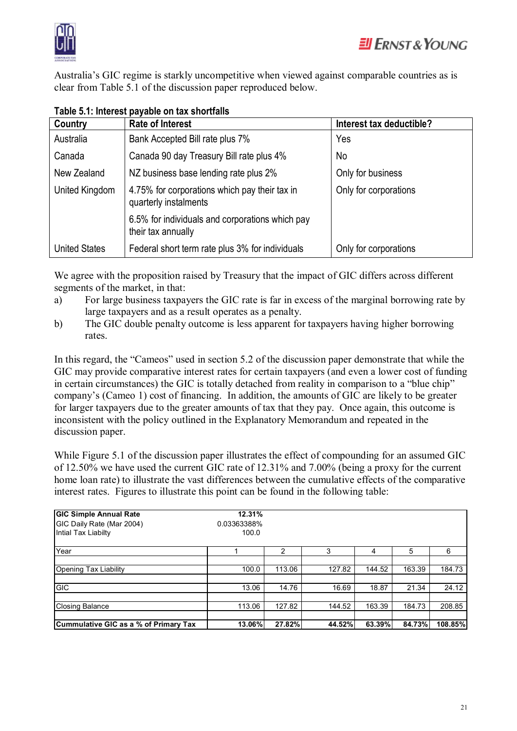

Australia's GIC regime is starkly uncompetitive when viewed against comparable countries as is clear from Table 5.1 of the discussion paper reproduced below.

| Country              | <b>Rate of Interest</b>                                                | Interest tax deductible? |
|----------------------|------------------------------------------------------------------------|--------------------------|
| Australia            | Bank Accepted Bill rate plus 7%                                        | Yes                      |
| Canada               | Canada 90 day Treasury Bill rate plus 4%                               | No                       |
| New Zealand          | NZ business base lending rate plus 2%                                  | Only for business        |
| United Kingdom       | 4.75% for corporations which pay their tax in<br>quarterly instalments | Only for corporations    |
|                      | 6.5% for individuals and corporations which pay<br>their tax annually  |                          |
| <b>United States</b> | Federal short term rate plus 3% for individuals                        | Only for corporations    |

#### **Table 5.1: Interest payable on tax shortfalls**

We agree with the proposition raised by Treasury that the impact of GIC differs across different segments of the market, in that:

- a) For large business taxpayers the GIC rate is far in excess of the marginal borrowing rate by large taxpayers and as a result operates as a penalty.
- b) The GIC double penalty outcome is less apparent for taxpayers having higher borrowing rates.

In this regard, the "Cameos" used in section 5.2 of the discussion paper demonstrate that while the GIC may provide comparative interest rates for certain taxpayers (and even a lower cost of funding in certain circumstances) the GIC is totally detached from reality in comparison to a "blue chip" company's (Cameo 1) cost of financing. In addition, the amounts of GIC are likely to be greater for larger taxpayers due to the greater amounts of tax that they pay. Once again, this outcome is inconsistent with the policy outlined in the Explanatory Memorandum and repeated in the discussion paper.

While Figure 5.1 of the discussion paper illustrates the effect of compounding for an assumed GIC of 12.50% we have used the current GIC rate of 12.31% and 7.00% (being a proxy for the current home loan rate) to illustrate the vast differences between the cumulative effects of the comparative interest rates. Figures to illustrate this point can be found in the following table:

| <b>GIC Simple Annual Rate</b>         | 12.31%      |        |        |        |        |         |
|---------------------------------------|-------------|--------|--------|--------|--------|---------|
| GIC Daily Rate (Mar 2004)             | 0.03363388% |        |        |        |        |         |
| Intial Tax Liabilty                   | 100.0       |        |        |        |        |         |
| Year                                  |             | 2      | 3      | 4      | 5      | 6       |
|                                       |             |        |        |        |        |         |
| Opening Tax Liability                 | 100.0       | 113.06 | 127.82 | 144.52 | 163.39 | 184.73  |
|                                       |             |        |        |        |        |         |
| <b>GIC</b>                            | 13.06       | 14.76  | 16.69  | 18.87  | 21.34  | 24.12   |
|                                       |             |        |        |        |        |         |
| <b>Closing Balance</b>                | 113.06      | 127.82 | 144.52 | 163.39 | 184.73 | 208.85  |
|                                       |             |        |        |        |        |         |
| Cummulative GIC as a % of Primary Tax | 13.06%      | 27.82% | 44.52% | 63.39% | 84.73% | 108.85% |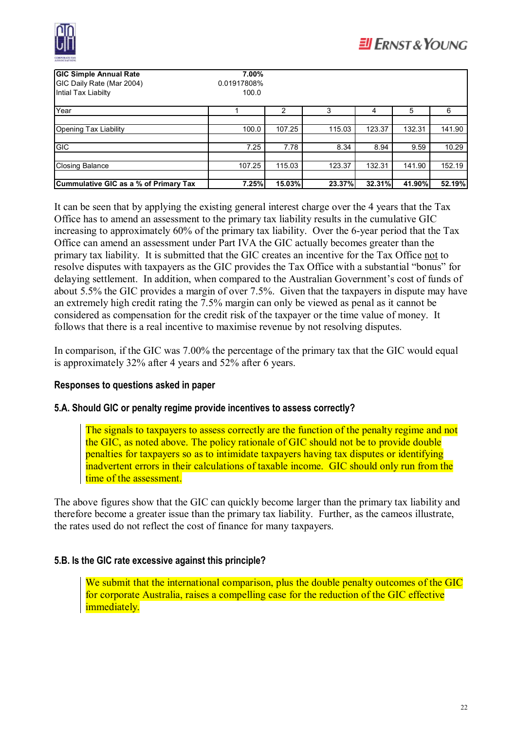

| <b>GIC Simple Annual Rate</b><br>GIC Daily Rate (Mar 2004)<br>Intial Tax Liabilty | 7.00%<br>0.01917808%<br>100.0 |        |        |        |        |        |
|-----------------------------------------------------------------------------------|-------------------------------|--------|--------|--------|--------|--------|
| Year                                                                              |                               | 2      | 3      | 4      | 5      | 6      |
|                                                                                   |                               |        |        |        |        |        |
| Opening Tax Liability                                                             | 100.0                         | 107.25 | 115.03 | 123.37 | 132.31 | 141.90 |
|                                                                                   |                               |        |        |        |        |        |
| <b>GIC</b>                                                                        | 7.25                          | 7.78   | 8.34   | 8.94   | 9.59   | 10.29  |
|                                                                                   |                               |        |        |        |        |        |
| Closing Balance                                                                   | 107.25                        | 115.03 | 123.37 | 132.31 | 141.90 | 152.19 |
|                                                                                   |                               |        |        |        |        |        |
| Cummulative GIC as a % of Primary Tax                                             | 7.25%                         | 15.03% | 23.37% | 32.31% | 41.90% | 52.19% |

It can be seen that by applying the existing general interest charge over the 4 years that the Tax Office has to amend an assessment to the primary tax liability results in the cumulative GIC increasing to approximately 60% of the primary tax liability. Over the 6-year period that the Tax Office can amend an assessment under Part IVA the GIC actually becomes greater than the primary tax liability. It is submitted that the GIC creates an incentive for the Tax Office not to resolve disputes with taxpayers as the GIC provides the Tax Office with a substantial "bonus" for delaying settlement. In addition, when compared to the Australian Government's cost of funds of about 5.5% the GIC provides a margin of over 7.5%. Given that the taxpayers in dispute may have an extremely high credit rating the 7.5% margin can only be viewed as penal as it cannot be considered as compensation for the credit risk of the taxpayer or the time value of money. It follows that there is a real incentive to maximise revenue by not resolving disputes.

In comparison, if the GIC was 7.00% the percentage of the primary tax that the GIC would equal is approximately 32% after 4 years and 52% after 6 years.

#### **Responses to questions asked in paper**

#### **5.A. Should GIC or penalty regime provide incentives to assess correctly?**

The signals to taxpayers to assess correctly are the function of the penalty regime and not the GIC, as noted above. The policy rationale of GIC should not be to provide double penalties for taxpayers so as to intimidate taxpayers having tax disputes or identifying inadvertent errors in their calculations of taxable income. GIC should only run from the time of the assessment.

The above figures show that the GIC can quickly become larger than the primary tax liability and therefore become a greater issue than the primary tax liability. Further, as the cameos illustrate, the rates used do not reflect the cost of finance for many taxpayers.

#### **5.B. Is the GIC rate excessive against this principle?**

We submit that the international comparison, plus the double penalty outcomes of the GIC for corporate Australia, raises a compelling case for the reduction of the GIC effective immediately.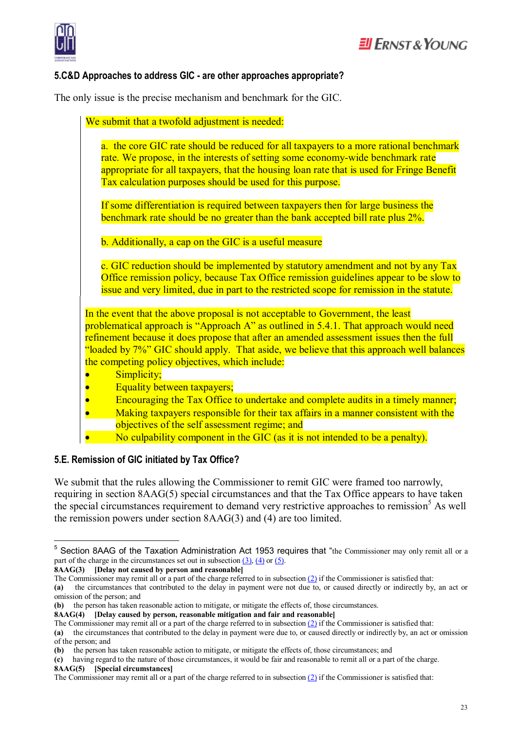

#### **5.C&D Approaches to address GIC - are other approaches appropriate?**

The only issue is the precise mechanism and benchmark for the GIC.

| We submit that a twofold adjustment is needed:                                                                                                                                                                                                                                                                                                                                                                       |
|----------------------------------------------------------------------------------------------------------------------------------------------------------------------------------------------------------------------------------------------------------------------------------------------------------------------------------------------------------------------------------------------------------------------|
| a. the core GIC rate should be reduced for all taxpayers to a more rational benchmark<br>rate. We propose, in the interests of setting some economy-wide benchmark rate<br>appropriate for all taxpayers, that the housing loan rate that is used for Fringe Benefit<br>Tax calculation purposes should be used for this purpose.                                                                                    |
| If some differentiation is required between taxpayers then for large business the<br>benchmark rate should be no greater than the bank accepted bill rate plus 2%.                                                                                                                                                                                                                                                   |
| b. Additionally, a cap on the GIC is a useful measure                                                                                                                                                                                                                                                                                                                                                                |
| c. GIC reduction should be implemented by statutory amendment and not by any Tax<br>Office remission policy, because Tax Office remission guidelines appear to be slow to<br>issue and very limited, due in part to the restricted scope for remission in the statute.                                                                                                                                               |
| In the event that the above proposal is not acceptable to Government, the least<br>problematical approach is "Approach A" as outlined in 5.4.1. That approach would need<br>refinement because it does propose that after an amended assessment issues then the full<br>"loaded by 7%" GIC should apply. That aside, we believe that this approach well balances                                                     |
| the competing policy objectives, which include:                                                                                                                                                                                                                                                                                                                                                                      |
| Simplicity;                                                                                                                                                                                                                                                                                                                                                                                                          |
| Equality between taxpayers;<br>Encouraging the Tax Office to undertake and complete audits in a timely manner;<br>$\bullet$                                                                                                                                                                                                                                                                                          |
| Making taxpayers responsible for their tax affairs in a manner consistent with the<br>$\bullet$<br>$\mathcal{L}$ and $\mathcal{L}$ and $\mathcal{L}$ and $\mathcal{L}$ and $\mathcal{L}$ and $\mathcal{L}$ and $\mathcal{L}$ and $\mathcal{L}$ and $\mathcal{L}$ and $\mathcal{L}$ and $\mathcal{L}$ and $\mathcal{L}$ and $\mathcal{L}$ and $\mathcal{L}$ and $\mathcal{L}$ and $\mathcal{L}$ and $\mathcal{L}$ and |

- objectives of the self assessment regime; and
- No culpability component in the GIC (as it is not intended to be a penalty).

#### **5.E. Remission of GIC initiated by Tax Office?**

 $\overline{a}$ 

We submit that the rules allowing the Commissioner to remit GIC were framed too narrowly, requiring in section 8AAG(5) special circumstances and that the Tax Office appears to have taken the special circumstances requirement to demand very restrictive approaches to remission<sup>5</sup> As well the remission powers under section 8AAG(3) and (4) are too limited.

 $<sup>5</sup>$  Section 8AAG of the Taxation Administration Act 1953 requires that "the Commissioner may only remit all or a</sup> part of the charge in the circumstances set out in subsection  $(3)$ ,  $(4)$  or  $(5)$ . **8AAG(3) [Delay not caused by person and reasonable]**

The Commissioner may remit all or a part of the charge referred to in subsection  $(2)$  if the Commissioner is satisfied that:

**<sup>(</sup>a)** the circumstances that contributed to the delay in payment were not due to, or caused directly or indirectly by, an act or omission of the person; and

**<sup>(</sup>b)** the person has taken reasonable action to mitigate, or mitigate the effects of, those circumstances.

**<sup>8</sup>AAG(4) [Delay caused by person, reasonable mitigation and fair and reasonable]**

The Commissioner may remit all or a part of the charge referred to in subsection  $(2)$  if the Commissioner is satisfied that:

**<sup>(</sup>a)** the circumstances that contributed to the delay in payment were due to, or caused directly or indirectly by, an act or omission of the person; and

**<sup>(</sup>b)** the person has taken reasonable action to mitigate, or mitigate the effects of, those circumstances; and

**<sup>(</sup>c)** having regard to the nature of those circumstances, it would be fair and reasonable to remit all or a part of the charge. **8AAG(5) [Special circumstances]**

The Commissioner may remit all or a part of the charge referred to in subsection  $(2)$  if the Commissioner is satisfied that: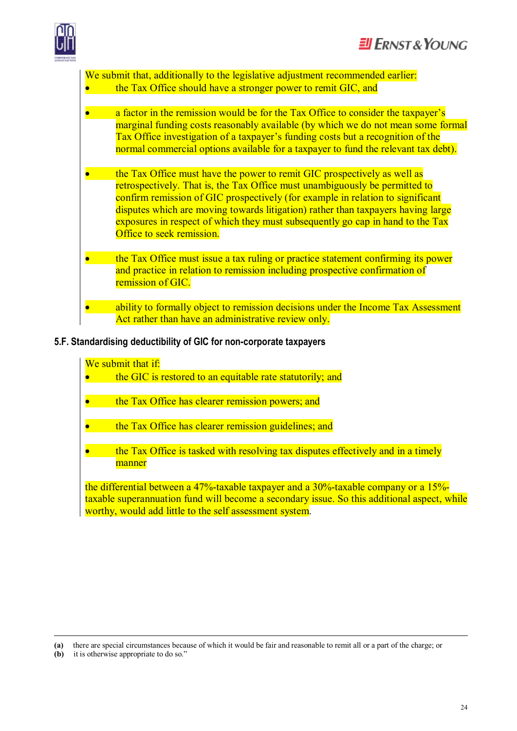

We submit that, additionally to the legislative adjustment recommended earlier: the Tax Office should have a stronger power to remit GIC, and

- a factor in the remission would be for the Tax Office to consider the taxpayer's marginal funding costs reasonably available (by which we do not mean some formal Tax Office investigation of a taxpayer's funding costs but a recognition of the normal commercial options available for a taxpayer to fund the relevant tax debt).
- the Tax Office must have the power to remit GIC prospectively as well as retrospectively. That is, the Tax Office must unambiguously be permitted to confirm remission of GIC prospectively (for example in relation to significant disputes which are moving towards litigation) rather than taxpayers having large exposures in respect of which they must subsequently go cap in hand to the Tax Office to seek remission.
- the Tax Office must issue a tax ruling or practice statement confirming its power and practice in relation to remission including prospective confirmation of remission of GIC.
- ability to formally object to remission decisions under the Income Tax Assessment Act rather than have an administrative review only.

#### **5.F. Standardising deductibility of GIC for non-corporate taxpayers**

#### We submit that if:

the GIC is restored to an equitable rate statutorily; and

- the Tax Office has clearer remission powers; and
- the Tax Office has clearer remission guidelines; and
- · the Tax Office is tasked with resolving tax disputes effectively and in a timely **manner**

the differential between a 47%-taxable taxpayer and a 30%-taxable company or a 15% taxable superannuation fund will become a secondary issue. So this additional aspect, while worthy, would add little to the self assessment system.

 $\overline{a}$ 

**<sup>(</sup>a)** there are special circumstances because of which it would be fair and reasonable to remit all or a part of the charge; or

**<sup>(</sup>b)** it is otherwise appropriate to do so."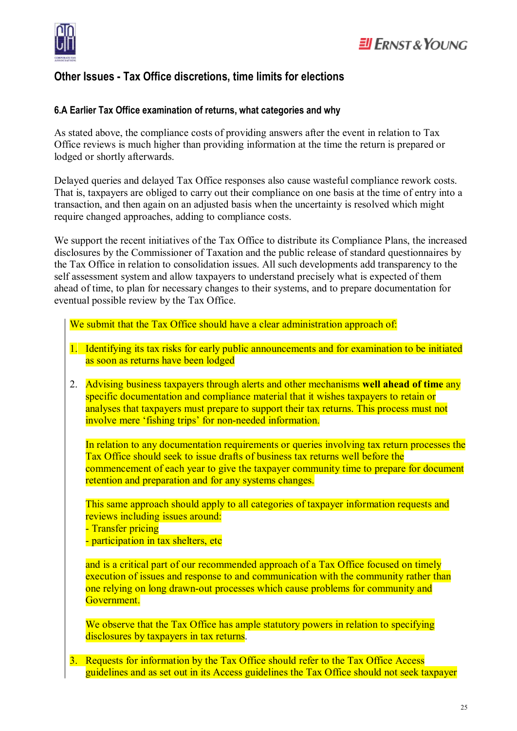

## **Other Issues - Tax Office discretions, time limits for elections**

#### **6.A Earlier Tax Office examination of returns, what categories and why**

As stated above, the compliance costs of providing answers after the event in relation to Tax Office reviews is much higher than providing information at the time the return is prepared or lodged or shortly afterwards.

Delayed queries and delayed Tax Office responses also cause wasteful compliance rework costs. That is, taxpayers are obliged to carry out their compliance on one basis at the time of entry into a transaction, and then again on an adjusted basis when the uncertainty is resolved which might require changed approaches, adding to compliance costs.

We support the recent initiatives of the Tax Office to distribute its Compliance Plans, the increased disclosures by the Commissioner of Taxation and the public release of standard questionnaires by the Tax Office in relation to consolidation issues. All such developments add transparency to the self assessment system and allow taxpayers to understand precisely what is expected of them ahead of time, to plan for necessary changes to their systems, and to prepare documentation for eventual possible review by the Tax Office.

We submit that the Tax Office should have a clear administration approach of:

- 1. Identifying its tax risks for early public announcements and for examination to be initiated as soon as returns have been lodged
- 2. Advising business taxpayers through alerts and other mechanisms **well ahead of time** any specific documentation and compliance material that it wishes taxpayers to retain or analyses that taxpayers must prepare to support their tax returns. This process must not involve mere 'fishing trips' for non-needed information.

In relation to any documentation requirements or queries involving tax return processes the Tax Office should seek to issue drafts of business tax returns well before the commencement of each year to give the taxpayer community time to prepare for document retention and preparation and for any systems changes.

This same approach should apply to all categories of taxpayer information requests and reviews including issues around:

- Transfer pricing

- participation in tax shelters, etc

and is a critical part of our recommended approach of a Tax Office focused on timely execution of issues and response to and communication with the community rather than one relying on long drawn-out processes which cause problems for community and Government.

We observe that the Tax Office has ample statutory powers in relation to specifying disclosures by taxpayers in tax returns.

3. Requests for information by the Tax Office should refer to the Tax Office Access guidelines and as set out in its Access guidelines the Tax Office should not seek taxpayer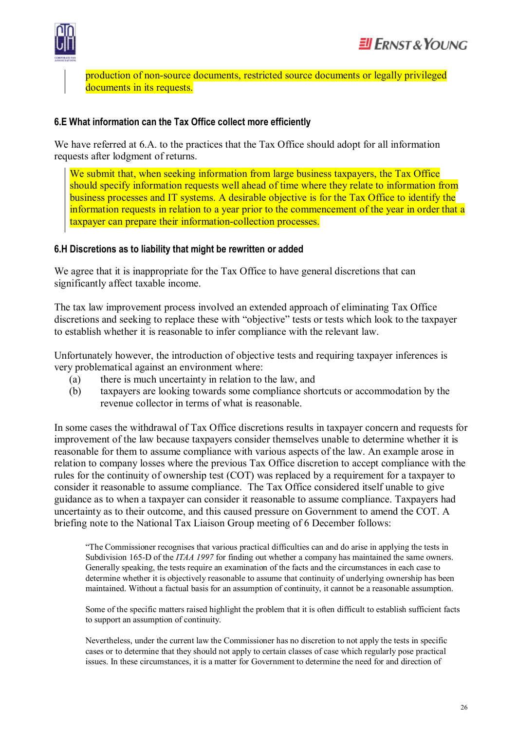

production of non-source documents, restricted source documents or legally privileged documents in its requests.

#### **6.E What information can the Tax Office collect more efficiently**

We have referred at 6.A. to the practices that the Tax Office should adopt for all information requests after lodgment of returns.

We submit that, when seeking information from large business taxpayers, the Tax Office should specify information requests well ahead of time where they relate to information from business processes and IT systems. A desirable objective is for the Tax Office to identify the information requests in relation to a year prior to the commencement of the year in order that a taxpayer can prepare their information-collection processes.

#### **6.H Discretions as to liability that might be rewritten or added**

We agree that it is inappropriate for the Tax Office to have general discretions that can significantly affect taxable income.

The tax law improvement process involved an extended approach of eliminating Tax Office discretions and seeking to replace these with "objective" tests or tests which look to the taxpayer to establish whether it is reasonable to infer compliance with the relevant law.

Unfortunately however, the introduction of objective tests and requiring taxpayer inferences is very problematical against an environment where:

- (a) there is much uncertainty in relation to the law, and
- (b) taxpayers are looking towards some compliance shortcuts or accommodation by the revenue collector in terms of what is reasonable.

In some cases the withdrawal of Tax Office discretions results in taxpayer concern and requests for improvement of the law because taxpayers consider themselves unable to determine whether it is reasonable for them to assume compliance with various aspects of the law. An example arose in relation to company losses where the previous Tax Office discretion to accept compliance with the rules for the continuity of ownership test (COT) was replaced by a requirement for a taxpayer to consider it reasonable to assume compliance. The Tax Office considered itself unable to give guidance as to when a taxpayer can consider it reasonable to assume compliance. Taxpayers had uncertainty as to their outcome, and this caused pressure on Government to amend the COT. A briefing note to the National Tax Liaison Group meeting of 6 December follows:

"The Commissioner recognises that various practical difficulties can and do arise in applying the tests in Subdivision 165-D of the *ITAA 1997* for finding out whether a company has maintained the same owners. Generally speaking, the tests require an examination of the facts and the circumstances in each case to determine whether it is objectively reasonable to assume that continuity of underlying ownership has been maintained. Without a factual basis for an assumption of continuity, it cannot be a reasonable assumption.

Some of the specific matters raised highlight the problem that it is often difficult to establish sufficient facts to support an assumption of continuity.

Nevertheless, under the current law the Commissioner has no discretion to not apply the tests in specific cases or to determine that they should not apply to certain classes of case which regularly pose practical issues. In these circumstances, it is a matter for Government to determine the need for and direction of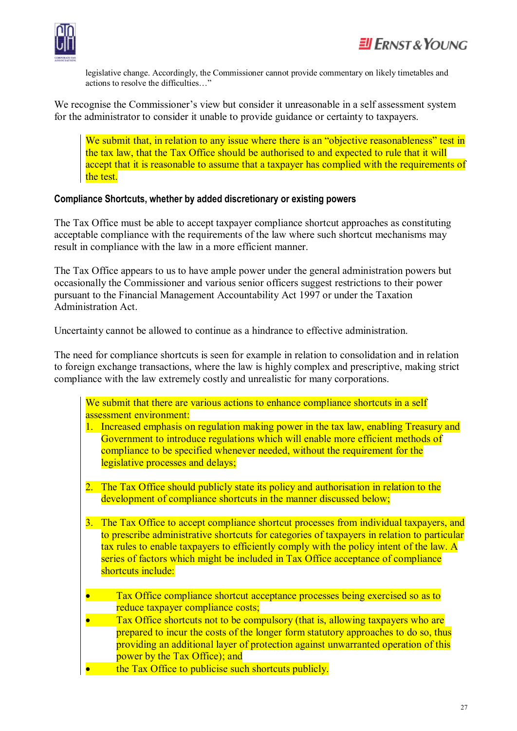

legislative change. Accordingly, the Commissioner cannot provide commentary on likely timetables and actions to resolve the difficulties…"

We recognise the Commissioner's view but consider it unreasonable in a self assessment system for the administrator to consider it unable to provide guidance or certainty to taxpayers.

We submit that, in relation to any issue where there is an "objective reasonableness" test in the tax law, that the Tax Office should be authorised to and expected to rule that it will accept that it is reasonable to assume that a taxpayer has complied with the requirements of the test.

#### **Compliance Shortcuts, whether by added discretionary or existing powers**

The Tax Office must be able to accept taxpayer compliance shortcut approaches as constituting acceptable compliance with the requirements of the law where such shortcut mechanisms may result in compliance with the law in a more efficient manner.

The Tax Office appears to us to have ample power under the general administration powers but occasionally the Commissioner and various senior officers suggest restrictions to their power pursuant to the Financial Management Accountability Act 1997 or under the Taxation Administration Act.

Uncertainty cannot be allowed to continue as a hindrance to effective administration.

The need for compliance shortcuts is seen for example in relation to consolidation and in relation to foreign exchange transactions, where the law is highly complex and prescriptive, making strict compliance with the law extremely costly and unrealistic for many corporations.

| We submit that there are various actions to enhance compliance shortcuts in a self |  |  |  |
|------------------------------------------------------------------------------------|--|--|--|
| assessment environment:                                                            |  |  |  |

- 1. Increased emphasis on regulation making power in the tax law, enabling Treasury and Government to introduce regulations which will enable more efficient methods of compliance to be specified whenever needed, without the requirement for the legislative processes and delays;
- 2. The Tax Office should publicly state its policy and authorisation in relation to the development of compliance shortcuts in the manner discussed below;
- 3. The Tax Office to accept compliance shortcut processes from individual taxpayers, and to prescribe administrative shortcuts for categories of taxpayers in relation to particular tax rules to enable taxpayers to efficiently comply with the policy intent of the law. A series of factors which might be included in Tax Office acceptance of compliance shortcuts include:
- Tax Office compliance shortcut acceptance processes being exercised so as to reduce taxpayer compliance costs;
- Tax Office shortcuts not to be compulsory (that is, allowing taxpayers who are prepared to incur the costs of the longer form statutory approaches to do so, thus providing an additional layer of protection against unwarranted operation of this power by the Tax Office); and
- the Tax Office to publicise such shortcuts publicly.